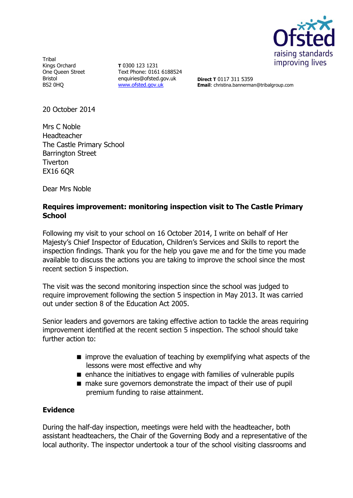

**Tribal** Kings Orchard One Queen Street Bristol BS2 0HQ

**T** 0300 123 1231 Text Phone: 0161 6188524 enquiries@ofsted.gov.uk [www.ofsted.gov.uk](http://www.ofsted.gov.uk/)

**Direct T** 0117 311 5359 **Email**: christina.bannerman@tribalgroup.com

20 October 2014

Mrs C Noble Headteacher The Castle Primary School Barrington Street **Tiverton** EX16 6QR

Dear Mrs Noble

## **Requires improvement: monitoring inspection visit to The Castle Primary School**

Following my visit to your school on 16 October 2014, I write on behalf of Her Majesty's Chief Inspector of Education, Children's Services and Skills to report the inspection findings. Thank you for the help you gave me and for the time you made available to discuss the actions you are taking to improve the school since the most recent section 5 inspection.

The visit was the second monitoring inspection since the school was judged to require improvement following the section 5 inspection in May 2013. It was carried out under section 8 of the Education Act 2005.

Senior leaders and governors are taking effective action to tackle the areas requiring improvement identified at the recent section 5 inspection. The school should take further action to:

- **n** improve the evaluation of teaching by exemplifying what aspects of the lessons were most effective and why
- **E** enhance the initiatives to engage with families of vulnerable pupils
- make sure governors demonstrate the impact of their use of pupil premium funding to raise attainment.

### **Evidence**

During the half-day inspection, meetings were held with the headteacher, both assistant headteachers, the Chair of the Governing Body and a representative of the local authority. The inspector undertook a tour of the school visiting classrooms and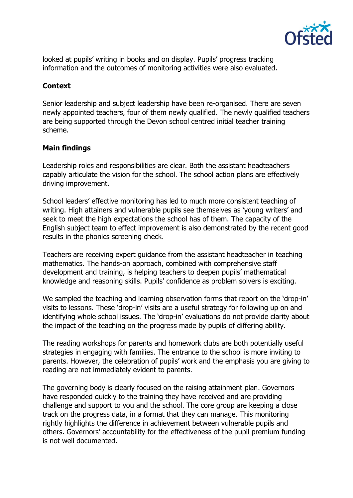

looked at pupils' writing in books and on display. Pupils' progress tracking information and the outcomes of monitoring activities were also evaluated.

# **Context**

Senior leadership and subject leadership have been re-organised. There are seven newly appointed teachers, four of them newly qualified. The newly qualified teachers are being supported through the Devon school centred initial teacher training scheme.

# **Main findings**

Leadership roles and responsibilities are clear. Both the assistant headteachers capably articulate the vision for the school. The school action plans are effectively driving improvement.

School leaders' effective monitoring has led to much more consistent teaching of writing. High attainers and vulnerable pupils see themselves as 'young writers' and seek to meet the high expectations the school has of them. The capacity of the English subject team to effect improvement is also demonstrated by the recent good results in the phonics screening check.

Teachers are receiving expert guidance from the assistant headteacher in teaching mathematics. The hands-on approach, combined with comprehensive staff development and training, is helping teachers to deepen pupils' mathematical knowledge and reasoning skills. Pupils' confidence as problem solvers is exciting.

We sampled the teaching and learning observation forms that report on the 'drop-in' visits to lessons. These 'drop-in' visits are a useful strategy for following up on and identifying whole school issues. The 'drop-in' evaluations do not provide clarity about the impact of the teaching on the progress made by pupils of differing ability.

The reading workshops for parents and homework clubs are both potentially useful strategies in engaging with families. The entrance to the school is more inviting to parents. However, the celebration of pupils' work and the emphasis you are giving to reading are not immediately evident to parents.

The governing body is clearly focused on the raising attainment plan. Governors have responded quickly to the training they have received and are providing challenge and support to you and the school. The core group are keeping a close track on the progress data, in a format that they can manage. This monitoring rightly highlights the difference in achievement between vulnerable pupils and others. Governors' accountability for the effectiveness of the pupil premium funding is not well documented.